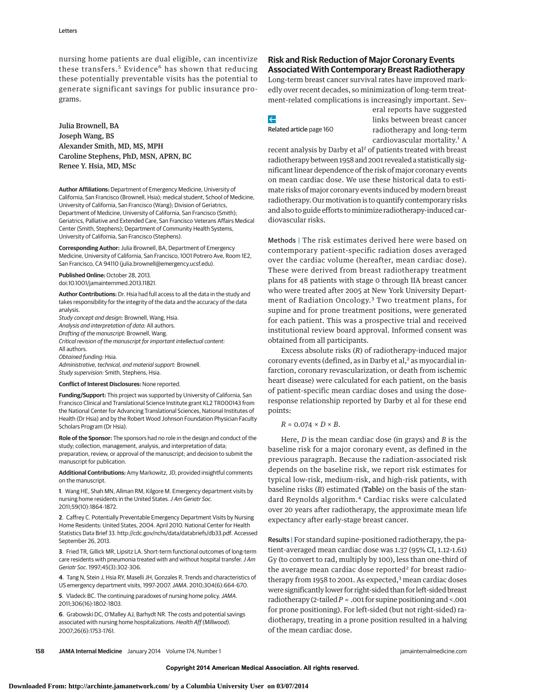nursing home patients are dual eligible, can incentivize these transfers.<sup>5</sup> Evidence<sup>6</sup> has shown that reducing these potentially preventable visits has the potential to generate significant savings for public insurance programs.

Julia Brownell, BA Joseph Wang, BS Alexander Smith, MD, MS, MPH Caroline Stephens, PhD, MSN, APRN, BC Renee Y. Hsia, MD, MSc

**Author Affiliations:** Department of Emergency Medicine, University of California, San Francisco (Brownell, Hsia); medical student, School of Medicine, University of California, San Francisco (Wang); Division of Geriatrics, Department of Medicine, University of California, San Francisco (Smith); Geriatrics, Palliative and Extended Care, San Francisco Veterans Affairs Medical Center (Smith, Stephens); Department of Community Health Systems, University of California, San Francisco (Stephens).

**Corresponding Author:** Julia Brownell, BA, Department of Emergency Medicine, University of California, San Francisco, 1001 Potrero Ave, Room 1E2, San Francisco, CA 94110 (julia.brownell@emergency.ucsf.edu).

**Published Online:** October 28, 2013. doi:10.1001/jamainternmed.2013.11821.

**Author Contributions:** Dr. Hsia had full access to all the data in the study and takes responsibility for the integrity of the data and the accuracy of the data analysis.

Study concept and design: Brownell, Wang, Hsia. Analysis and interpretation of data: All authors. Drafting of the manuscript: Brownell, Wang. Critical revision of the manuscript for important intellectual content: All authors. Obtained funding: Hsia. Administrative, technical, and material support: Brownell. Study supervision: Smith, Stephens, Hsia.

**Conflict of Interest Disclosures:** None reported.

**Funding/Support:** This project was supported by University of California, San Francisco Clinical and Translational Science Institute grant KL2 TR000143 from the National Center for Advancing Translational Sciences, National Institutes of Health (Dr Hsia) and by the Robert Wood Johnson Foundation Physician Faculty Scholars Program (Dr Hsia).

**Role of the Sponsor:** The sponsors had no role in the design and conduct of the study; collection, management, analysis, and interpretation of data; preparation, review, or approval of the manuscript; and decision to submit the manuscript for publication.

**Additional Contributions:** Amy Markowitz, JD, provided insightful comments on the manuscript.

**1**. Wang HE, Shah MN, Allman RM, Kilgore M. Emergency department visits by nursing home residents in the United States. J Am Geriatr Soc. 2011;59(10):1864-1872.

**2**. Caffrey C. Potentially Preventable Emergency Department Visits by Nursing Home Residents: United States, 2004. April 2010. National Center for Health Statistics Data Brief 33. http://cdc.gov/nchs/data/databriefs/db33.pdf. Accessed September 26, 2013.

**3**. Fried TR, Gillick MR, Lipsitz LA. Short-term functional outcomes of long-term care residents with pneumonia treated with and without hospital transfer. J Am Geriatr Soc. 1997;45(3):302-306.

**4**. Tang N, Stein J, Hsia RY, Maselli JH, Gonzales R. Trends and characteristics of US emergency department visits, 1997-2007.JAMA. 2010;304(6):664-670.

**5**. Vladeck BC. The continuing paradoxes of nursing home policy. JAMA. 2011;306(16):1802-1803.

**6**. Grabowski DC, O'Malley AJ, Barhydt NR. The costs and potential savings associated with nursing home hospitalizations. Health Aff (Millwood). 2007;26(6):1753-1761.

# **Risk and Risk Reduction of Major Coronary Events Associated With Contemporary Breast Radiotherapy**

Long-term breast cancer survival rates have improved markedly over recent decades, so minimization of long-term treatment-related complications is increasingly important. Sev-

 $\leftarrow$ Related article page 160 eral reports have suggested links between breast cancer radiotherapy and long-term cardiovascular mortality.<sup>1</sup> A

recent analysis by Darby et al<sup>2</sup> of patients treated with breast radiotherapy between 1958 and 2001 revealed a statistically significant linear dependence of the risk ofmajor coronary events on mean cardiac dose. We use these historical data to estimate risks of major coronary events induced by modern breast radiotherapy. Our motivation is to quantify contemporary risks and also to guide efforts tominimize radiotherapy-induced cardiovascular risks.

Methods | The risk estimates derived here were based on contemporary patient-specific radiation doses averaged over the cardiac volume (hereafter, mean cardiac dose). These were derived from breast radiotherapy treatment plans for 48 patients with stage 0 through IIA breast cancer who were treated after 2005 at New York University Department of Radiation Oncology.<sup>3</sup> Two treatment plans, for supine and for prone treatment positions, were generated for each patient. This was a prospective trial and received institutional review board approval. Informed consent was obtained from all participants.

Excess absolute risks (*R*) of radiotherapy-induced major coronary events (defined, as in Darby et al,<sup>2</sup> as myocardial infarction, coronary revascularization, or death from ischemic heart disease) were calculated for each patient, on the basis of patient-specific mean cardiac doses and using the doseresponse relationship reported by Darby et al for these end points:

 $R = 0.074 \times D \times B$ .

Here, *D* is the mean cardiac dose (in grays) and *B* is the baseline risk for a major coronary event, as defined in the previous paragraph. Because the radiation-associated risk depends on the baseline risk, we report risk estimates for typical low-risk, medium-risk, and high-risk patients, with baseline risks (*B*) estimated (Table) on the basis of the standard Reynolds algorithm.<sup>4</sup> Cardiac risks were calculated over 20 years after radiotherapy, the approximate mean life expectancy after early-stage breast cancer.

Results | For standard supine-positioned radiotherapy, the patient-averaged mean cardiac dose was 1.37 (95% CI, 1.12-1.61) Gy (to convert to rad, multiply by 100), less than one-third of the average mean cardiac dose reported<sup>2</sup> for breast radiotherapy from 1958 to 2001. As expected, $3$  mean cardiac doses were significantly lower for right-sided than for left-sided breast radiotherapy (2-tailed*P* = .001 for supine positioning and <.001 for prone positioning). For left-sided (but not right-sided) radiotherapy, treating in a prone position resulted in a halving of the mean cardiac dose.

**158 JAMA Internal Medicine** January 2014 Volume 174, Number 1 **jamainternalmedicine.com** jamainternalmedicine.com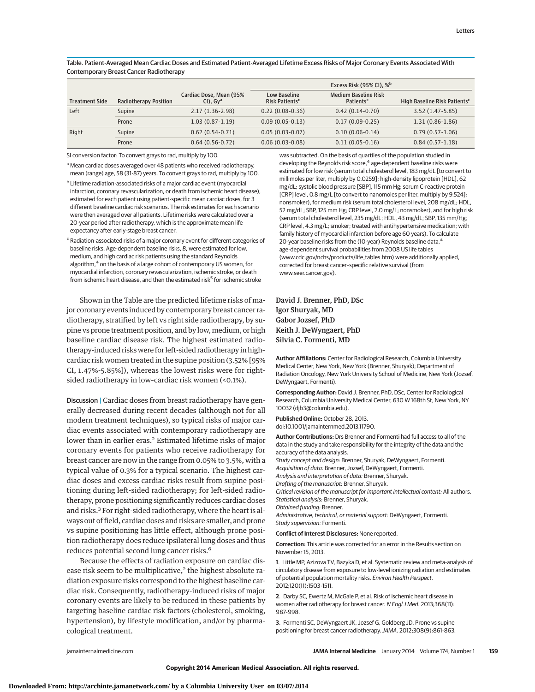Table. Patient-Averaged Mean Cardiac Doses and Estimated Patient-Averaged Lifetime Excess Risks of Major Coronary Events Associated With Contemporary Breast Cancer Radiotherapy

|                       |                              |                                          |                                                   | Excess Risk (95% CI), % <sup>b</sup>                 |                                          |
|-----------------------|------------------------------|------------------------------------------|---------------------------------------------------|------------------------------------------------------|------------------------------------------|
| <b>Treatment Side</b> | <b>Radiotherapy Position</b> | Cardiac Dose, Mean (95%<br>$Cl$ , $Gv^a$ | <b>Low Baseline</b><br>Risk Patients <sup>c</sup> | <b>Medium Baseline Risk</b><br>Patients <sup>c</sup> | High Baseline Risk Patients <sup>c</sup> |
| Left                  | Supine                       | $2.17(1.36-2.98)$                        | $0.22(0.08-0.36)$                                 | $0.42(0.14-0.70)$                                    | $3.52(1.47-5.85)$                        |
|                       | Prone                        | $1.03(0.87-1.19)$                        | $0.09(0.05-0.13)$                                 | $0.17(0.09-0.25)$                                    | $1.31(0.86-1.86)$                        |
| Right                 | Supine                       | $0.62(0.54-0.71)$                        | $0.05(0.03-0.07)$                                 | $0.10(0.06-0.14)$                                    | $0.79(0.57-1.06)$                        |
|                       | Prone                        | $0.64(0.56-0.72)$                        | $0.06(0.03-0.08)$                                 | $0.11(0.05-0.16)$                                    | $0.84(0.57-1.18)$                        |

SI conversion factor: To convert grays to rad, multiply by 100.

a Mean cardiac doses averaged over 48 patients who received radiotherapy, mean (range) age, 58 (31-87) years. To convert grays to rad, multiply by 100.

<sup>b</sup> Lifetime radiation-associated risks of a major cardiac event (myocardial infarction, coronary revascularization, or death from ischemic heart disease), estimated for each patient using patient-specific mean cardiac doses, for 3 different baseline cardiac risk scenarios. The risk estimates for each scenario were then averaged over all patients. Lifetime risks were calculated over a 20-year period after radiotherapy, which is the approximate mean life expectancy after early-stage breast cancer.

 $\epsilon$  Radiation-associated risks of a major coronary event for different categories of baseline risks. Age-dependent baseline risks, B, were estimated for low, medium, and high cardiac risk patients using the standard Reynolds algorithm,<sup>4</sup> on the basis of a large cohort of contemporary US women, for myocardial infarction, coronary revascularization, ischemic stroke, or death from ischemic heart disease, and then the estimated risk<sup>5</sup> for ischemic stroke

Shown in the Table are the predicted lifetime risks of major coronary events induced by contemporary breast cancer radiotherapy, stratified by left vs right side radiotherapy, by supine vs prone treatment position, and by low, medium, or high baseline cardiac disease risk. The highest estimated radiotherapy-induced risks were for left-sided radiotherapy in high– cardiac risk women treated in the supine position (3.52% [95% CI, 1.47%-5.85%]), whereas the lowest risks were for rightsided radiotherapy in low-cardiac risk women (<0.1%).

Discussion | Cardiac doses from breast radiotherapy have generally decreased during recent decades (although not for all modern treatment techniques), so typical risks of major cardiac events associated with contemporary radiotherapy are lower than in earlier eras.<sup>2</sup> Estimated lifetime risks of major coronary events for patients who receive radiotherapy for breast cancer are now in the range from 0.05% to 3.5%, with a typical value of 0.3% for a typical scenario. The highest cardiac doses and excess cardiac risks result from supine positioning during left-sided radiotherapy; for left-sided radiotherapy, prone positioning significantly reduces cardiac doses and risks.3 For right-sided radiotherapy, where the heart is always out of field, cardiac doses and risks are smaller, and prone vs supine positioning has little effect, although prone position radiotherapy does reduce ipsilateral lung doses and thus reduces potential second lung cancer risks.<sup>6</sup>

Because the effects of radiation exposure on cardiac disease risk seem to be multiplicative,<sup>2</sup> the highest absolute radiation exposure risks correspond to the highest baseline cardiac risk. Consequently, radiotherapy-induced risks of major coronary events are likely to be reduced in these patients by targeting baseline cardiac risk factors (cholesterol, smoking, hypertension), by lifestyle modification, and/or by pharmacological treatment.

was subtracted. On the basis of quartiles of the population studied in developing the Reynolds risk score,<sup>4</sup> age-dependent baseline risks were estimated for low risk (serum total cholesterol level, 183 mg/dL [to convert to millimoles per liter, multiply by 0.0259]; high-density lipoprotein [HDL], 62 mg/dL; systolic blood pressure [SBP], 115 mm Hg; serum C-reactive protein [CRP] level, 0.8 mg/L [to convert to nanomoles per liter, multiply by 9.524]; nonsmoker), for medium risk (serum total cholesterol level, 208 mg/dL; HDL, 52 mg/dL; SBP, 125 mm Hg; CRP level, 2.0 mg/L; nonsmoker), and for high risk (serum total cholesterol level, 235 mg/dL; HDL, 43 mg/dL; SBP, 135 mm/Hg; CRP level, 4.3 mg/L; smoker; treated with antihypertensive medication; with family history of myocardial infarction before age 60 years). To calculate 20-year baseline risks from the (10-year) Reynolds baseline data,<sup>4</sup> age-dependent survival probabilities from 2008 US life tables (www.cdc.gov/nchs/products/life\_tables.htm) were additionally applied, corrected for breast cancer–specific relative survival (from www.seer.cancer.gov).

## David J. Brenner, PhD, DSc Igor Shuryak, MD Gabor Jozsef, PhD Keith J. DeWyngaert, PhD Silvia C. Formenti, MD

**Author Affiliations:** Center for Radiological Research, Columbia University Medical Center, New York, New York (Brenner, Shuryak); Department of Radiation Oncology, New York University School of Medicine, New York (Jozsef, DeWyngaert, Formenti).

**Corresponding Author:** David J. Brenner, PhD, DSc, Center for Radiological Research, Columbia University Medical Center, 630 W 168th St, New York, NY 10032 (djb3@columbia.edu).

**Published Online:** October 28, 2013. doi:10.1001/jamainternmed.2013.11790.

**Author Contributions:** Drs Brenner and Formenti had full access to all of the data in the study and take responsibility for the integrity of the data and the

accuracy of the data analysis. Study concept and design: Brenner, Shuryak, DeWyngaert, Formenti. Acquisition of data: Brenner, Jozsef, DeWyngaert, Formenti.

Analysis and interpretation of data: Brenner, Shuryak.

Drafting of the manuscript: Brenner, Shuryak.

Critical revision of the manuscript for important intellectual content: All authors. Statistical analysis: Brenner, Shuryak.

Obtained funding: Brenner.

Administrative, technical, or material support: DeWyngaert, Formenti. Study supervision: Formenti.

#### **Conflict of Interest Disclosures:** None reported.

**Correction:** This article was corrected for an error in the Results section on November 15, 2013.

**1**. Little MP, Azizova TV, Bazyka D, et al. Systematic review and meta-analysis of circulatory disease from exposure to low-level ionizing radiation and estimates of potential population mortality risks. Environ Health Perspect. 2012;120(11):1503-1511.

**2**. Darby SC, Ewertz M, McGale P, et al. Risk of ischemic heart disease in women after radiotherapy for breast cancer. N Engl J Med. 2013;368(11): 987-998.

**3**. Formenti SC, DeWyngaert JK, Jozsef G, Goldberg JD. Prone vs supine positioning for breast cancer radiotherapy. JAMA. 2012;308(9):861-863.